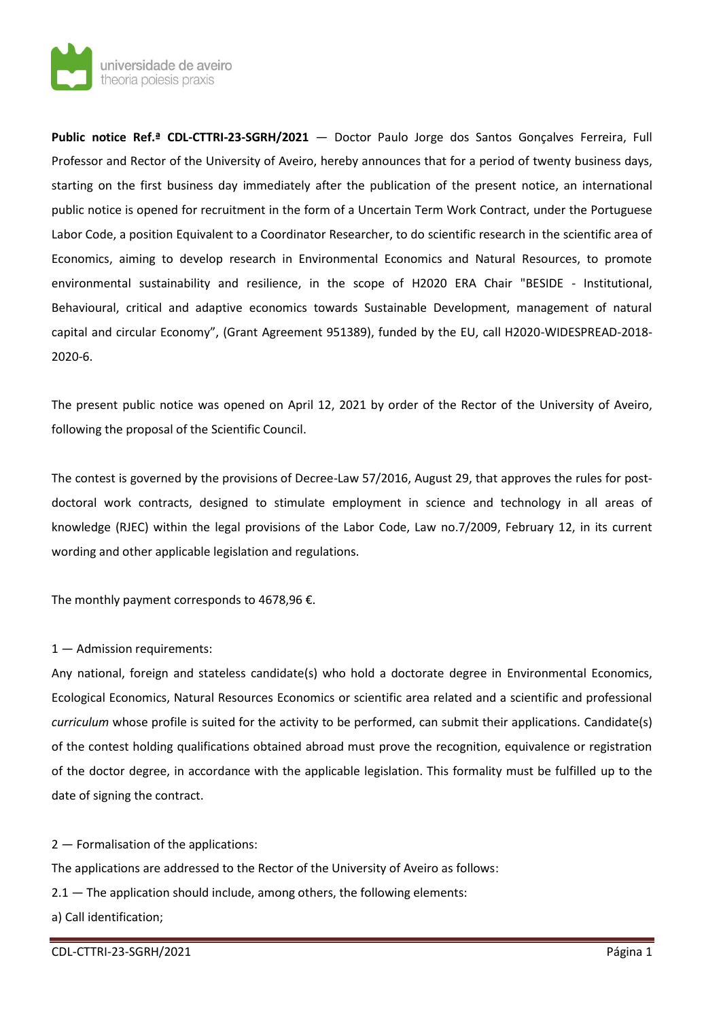

**Public notice Ref.ª CDL-CTTRI-23-SGRH/2021** — Doctor Paulo Jorge dos Santos Gonçalves Ferreira, Full Professor and Rector of the University of Aveiro, hereby announces that for a period of twenty business days, starting on the first business day immediately after the publication of the present notice, an international public notice is opened for recruitment in the form of a Uncertain Term Work Contract, under the Portuguese Labor Code, a position Equivalent to a Coordinator Researcher, to do scientific research in the scientific area of Economics, aiming to develop research in Environmental Economics and Natural Resources, to promote environmental sustainability and resilience, in the scope of H2020 ERA Chair "BESIDE - Institutional, Behavioural, critical and adaptive economics towards Sustainable Development, management of natural capital and circular Economy", (Grant Agreement 951389), funded by the EU, call H2020-WIDESPREAD-2018- 2020-6.

The present public notice was opened on April 12, 2021 by order of the Rector of the University of Aveiro, following the proposal of the Scientific Council.

The contest is governed by the provisions of Decree-Law 57/2016, August 29, that approves the rules for postdoctoral work contracts, designed to stimulate employment in science and technology in all areas of knowledge (RJEC) within the legal provisions of the Labor Code, Law no.7/2009, February 12, in its current wording and other applicable legislation and regulations.

The monthly payment corresponds to 4678,96  $\epsilon$ .

## 1 — Admission requirements:

Any national, foreign and stateless candidate(s) who hold a doctorate degree in Environmental Economics, Ecological Economics, Natural Resources Economics or scientific area related and a scientific and professional *curriculum* whose profile is suited for the activity to be performed, can submit their applications. Candidate(s) of the contest holding qualifications obtained abroad must prove the recognition, equivalence or registration of the doctor degree, in accordance with the applicable legislation. This formality must be fulfilled up to the date of signing the contract.

2 — Formalisation of the applications:

The applications are addressed to the Rector of the University of Aveiro as follows:

2.1 – The application should include, among others, the following elements:

a) Call identification;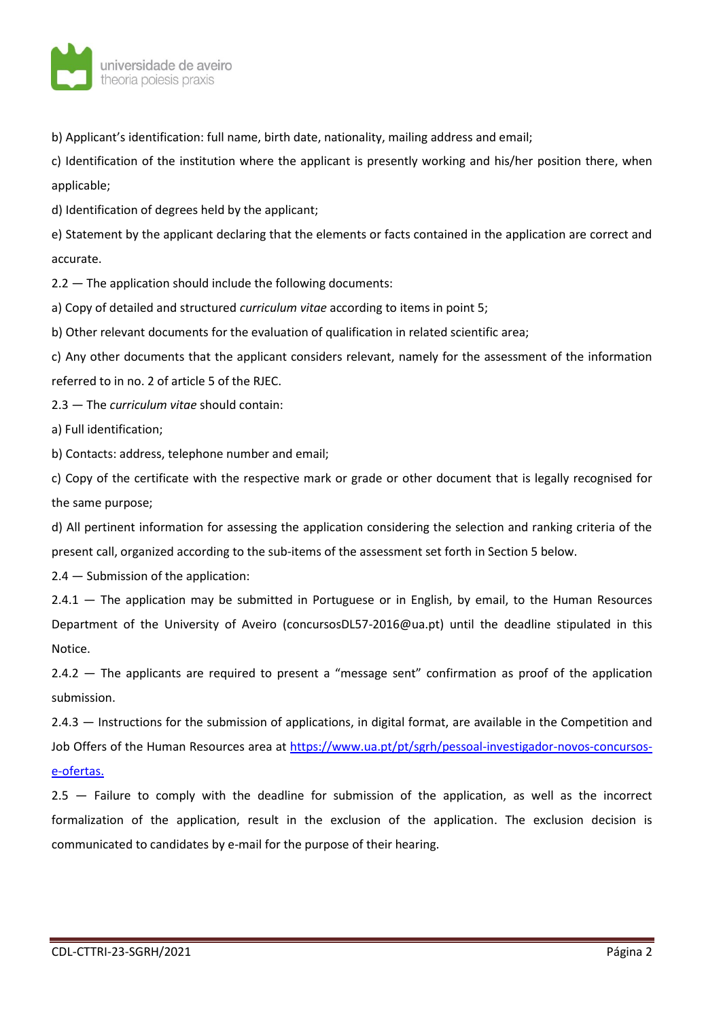

b) Applicant's identification: full name, birth date, nationality, mailing address and email;

c) Identification of the institution where the applicant is presently working and his/her position there, when applicable;

d) Identification of degrees held by the applicant;

e) Statement by the applicant declaring that the elements or facts contained in the application are correct and accurate.

2.2 — The application should include the following documents:

a) Copy of detailed and structured *curriculum vitae* according to items in point 5;

b) Other relevant documents for the evaluation of qualification in related scientific area;

c) Any other documents that the applicant considers relevant, namely for the assessment of the information referred to in no. 2 of article 5 of the RJEC.

2.3 — The *curriculum vitae* should contain:

a) Full identification;

b) Contacts: address, telephone number and email;

c) Copy of the certificate with the respective mark or grade or other document that is legally recognised for the same purpose;

d) All pertinent information for assessing the application considering the selection and ranking criteria of the present call, organized according to the sub-items of the assessment set forth in Section 5 below.

2.4 — Submission of the application:

2.4.1 — The application may be submitted in Portuguese or in English, by email, to the Human Resources Department of the University of Aveiro (concursosDL57-2016@ua.pt) until the deadline stipulated in this Notice.

2.4.2 — The applicants are required to present a "message sent" confirmation as proof of the application submission.

2.4.3 — Instructions for the submission of applications, in digital format, are available in the Competition and Job Offers of the Human Resources area at [https://www.ua.pt/pt/sgrh/pessoal-investigador-novos-concursos](https://www.ua.pt/pt/sgrh/pessoal-investigador-novos-concursos-e-ofertas)[e-ofertas.](https://www.ua.pt/pt/sgrh/pessoal-investigador-novos-concursos-e-ofertas)

2.5 — Failure to comply with the deadline for submission of the application, as well as the incorrect formalization of the application, result in the exclusion of the application. The exclusion decision is communicated to candidates by e-mail for the purpose of their hearing.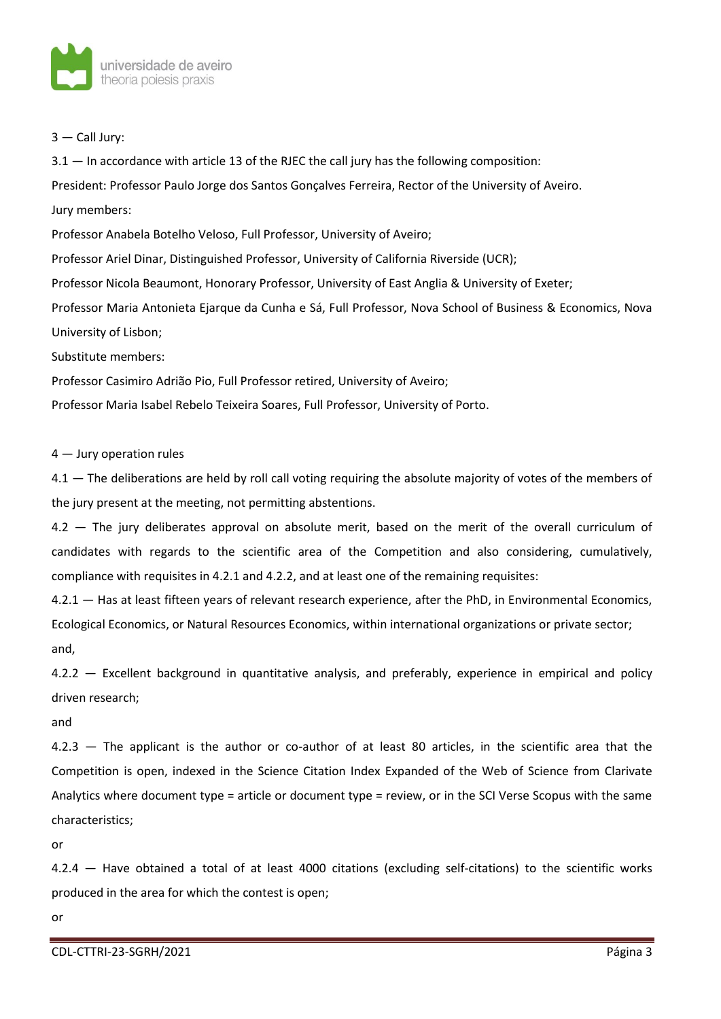

3 — Call Jury:

3.1 — In accordance with article 13 of the RJEC the call jury has the following composition:

President: Professor Paulo Jorge dos Santos Gonçalves Ferreira, Rector of the University of Aveiro. Jury members:

Professor Anabela Botelho Veloso, Full Professor, University of Aveiro;

Professor Ariel Dinar, Distinguished Professor, University of California Riverside (UCR);

Professor Nicola Beaumont, Honorary Professor, University of East Anglia & University of Exeter;

Professor Maria Antonieta Ejarque da Cunha e Sá, Full Professor, Nova School of Business & Economics, Nova University of Lisbon;

Substitute members:

Professor Casimiro Adrião Pio, Full Professor retired, University of Aveiro;

Professor Maria Isabel Rebelo Teixeira Soares, Full Professor, University of Porto.

4 — Jury operation rules

4.1 — The deliberations are held by roll call voting requiring the absolute majority of votes of the members of the jury present at the meeting, not permitting abstentions.

4.2 — The jury deliberates approval on absolute merit, based on the merit of the overall curriculum of candidates with regards to the scientific area of the Competition and also considering, cumulatively, compliance with requisites in 4.2.1 and 4.2.2, and at least one of the remaining requisites:

4.2.1 — Has at least fifteen years of relevant research experience, after the PhD, in Environmental Economics, Ecological Economics, or Natural Resources Economics, within international organizations or private sector; and,

4.2.2 — Excellent background in quantitative analysis, and preferably, experience in empirical and policy driven research;

and

4.2.3 — The applicant is the author or co-author of at least 80 articles, in the scientific area that the Competition is open, indexed in the Science Citation Index Expanded of the Web of Science from Clarivate Analytics where document type = article or document type = review, or in the SCI Verse Scopus with the same characteristics;

or

4.2.4 — Have obtained a total of at least 4000 citations (excluding self-citations) to the scientific works produced in the area for which the contest is open;

or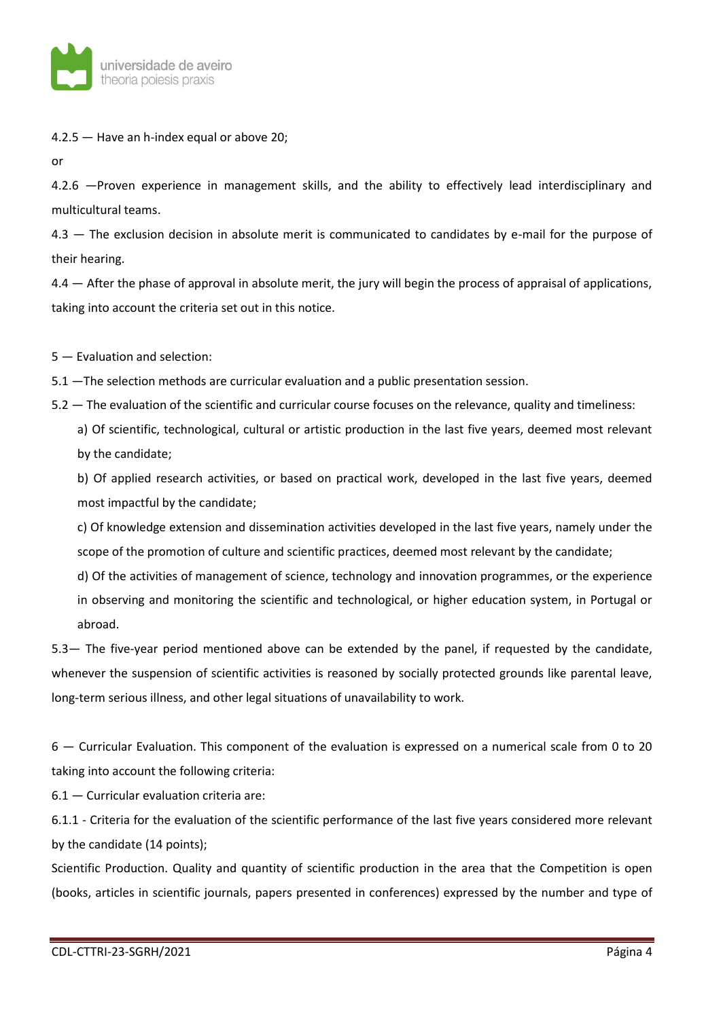

4.2.5 — Have an h-index equal or above 20;

or

4.2.6 —Proven experience in management skills, and the ability to effectively lead interdisciplinary and multicultural teams.

4.3 — The exclusion decision in absolute merit is communicated to candidates by e-mail for the purpose of their hearing.

4.4 — After the phase of approval in absolute merit, the jury will begin the process of appraisal of applications, taking into account the criteria set out in this notice.

5 — Evaluation and selection:

5.1 —The selection methods are curricular evaluation and a public presentation session.

5.2 — The evaluation of the scientific and curricular course focuses on the relevance, quality and timeliness:

a) Of scientific, technological, cultural or artistic production in the last five years, deemed most relevant by the candidate;

b) Of applied research activities, or based on practical work, developed in the last five years, deemed most impactful by the candidate;

c) Of knowledge extension and dissemination activities developed in the last five years, namely under the scope of the promotion of culture and scientific practices, deemed most relevant by the candidate;

d) Of the activities of management of science, technology and innovation programmes, or the experience in observing and monitoring the scientific and technological, or higher education system, in Portugal or abroad.

5.3— The five-year period mentioned above can be extended by the panel, if requested by the candidate, whenever the suspension of scientific activities is reasoned by socially protected grounds like parental leave, long-term serious illness, and other legal situations of unavailability to work.

6 — Curricular Evaluation. This component of the evaluation is expressed on a numerical scale from 0 to 20 taking into account the following criteria:

6.1 — Curricular evaluation criteria are:

6.1.1 - Criteria for the evaluation of the scientific performance of the last five years considered more relevant by the candidate (14 points);

Scientific Production. Quality and quantity of scientific production in the area that the Competition is open (books, articles in scientific journals, papers presented in conferences) expressed by the number and type of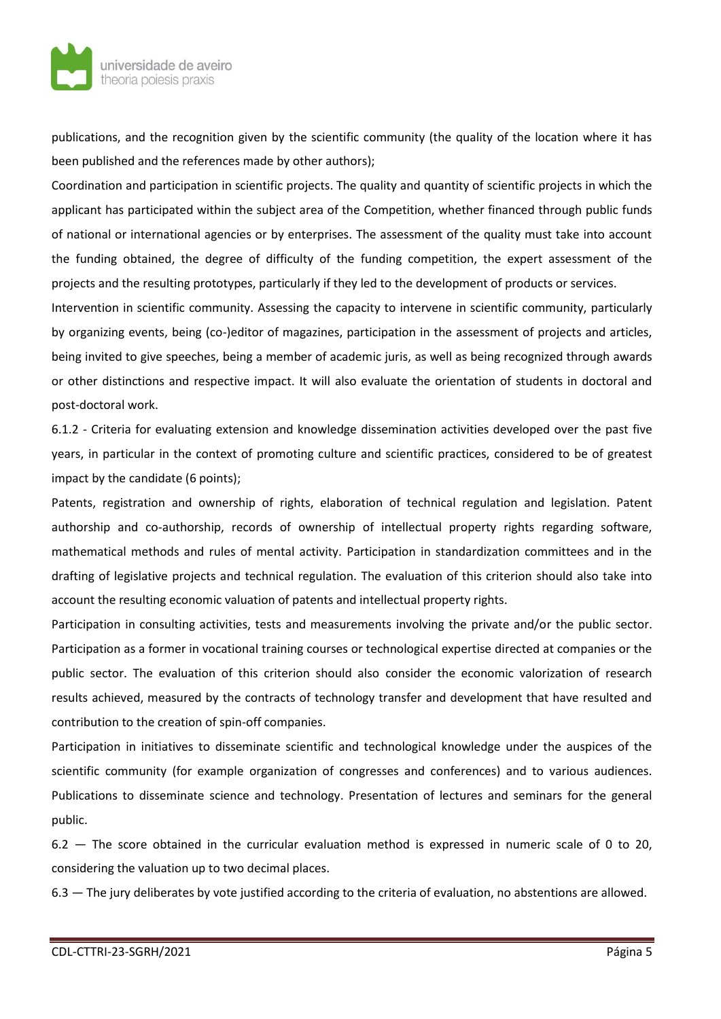

publications, and the recognition given by the scientific community (the quality of the location where it has been published and the references made by other authors);

Coordination and participation in scientific projects. The quality and quantity of scientific projects in which the applicant has participated within the subject area of the Competition, whether financed through public funds of national or international agencies or by enterprises. The assessment of the quality must take into account the funding obtained, the degree of difficulty of the funding competition, the expert assessment of the projects and the resulting prototypes, particularly if they led to the development of products or services.

Intervention in scientific community. Assessing the capacity to intervene in scientific community, particularly by organizing events, being (co-)editor of magazines, participation in the assessment of projects and articles, being invited to give speeches, being a member of academic juris, as well as being recognized through awards or other distinctions and respective impact. It will also evaluate the orientation of students in doctoral and post-doctoral work.

6.1.2 - Criteria for evaluating extension and knowledge dissemination activities developed over the past five years, in particular in the context of promoting culture and scientific practices, considered to be of greatest impact by the candidate (6 points);

Patents, registration and ownership of rights, elaboration of technical regulation and legislation. Patent authorship and co-authorship, records of ownership of intellectual property rights regarding software, mathematical methods and rules of mental activity. Participation in standardization committees and in the drafting of legislative projects and technical regulation. The evaluation of this criterion should also take into account the resulting economic valuation of patents and intellectual property rights.

Participation in consulting activities, tests and measurements involving the private and/or the public sector. Participation as a former in vocational training courses or technological expertise directed at companies or the public sector. The evaluation of this criterion should also consider the economic valorization of research results achieved, measured by the contracts of technology transfer and development that have resulted and contribution to the creation of spin-off companies.

Participation in initiatives to disseminate scientific and technological knowledge under the auspices of the scientific community (for example organization of congresses and conferences) and to various audiences. Publications to disseminate science and technology. Presentation of lectures and seminars for the general public.

6.2 — The score obtained in the curricular evaluation method is expressed in numeric scale of 0 to 20, considering the valuation up to two decimal places.

6.3 — The jury deliberates by vote justified according to the criteria of evaluation, no abstentions are allowed.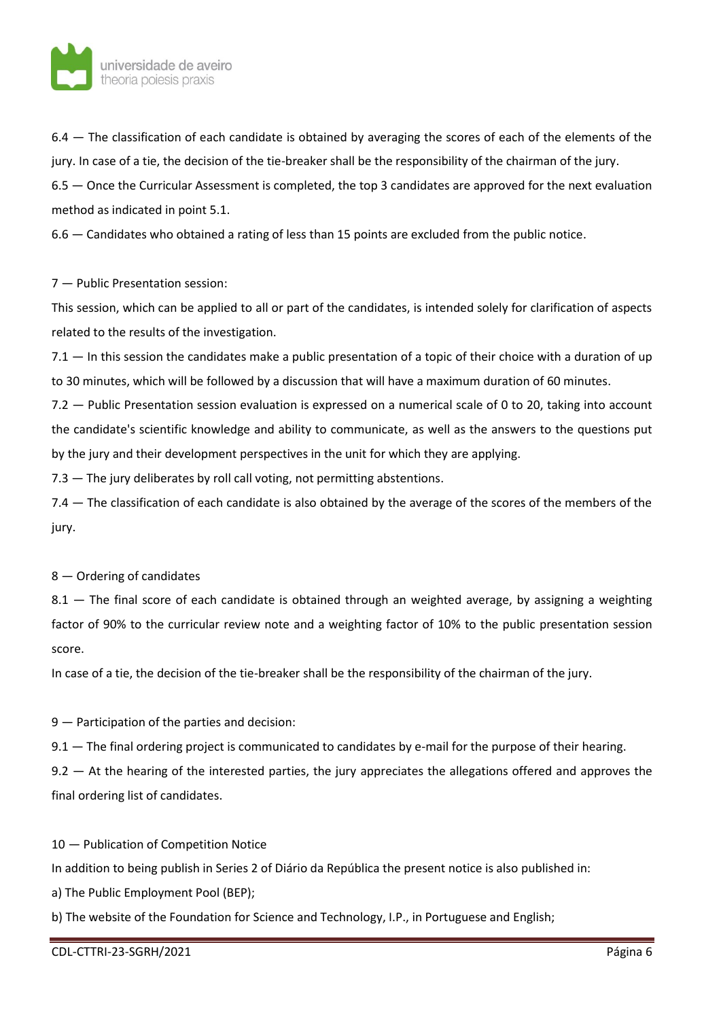

6.4 — The classification of each candidate is obtained by averaging the scores of each of the elements of the jury. In case of a tie, the decision of the tie-breaker shall be the responsibility of the chairman of the jury.

6.5 — Once the Curricular Assessment is completed, the top 3 candidates are approved for the next evaluation method as indicated in point 5.1.

6.6 — Candidates who obtained a rating of less than 15 points are excluded from the public notice.

## 7 — Public Presentation session:

This session, which can be applied to all or part of the candidates, is intended solely for clarification of aspects related to the results of the investigation.

7.1 — In this session the candidates make a public presentation of a topic of their choice with a duration of up to 30 minutes, which will be followed by a discussion that will have a maximum duration of 60 minutes.

7.2 — Public Presentation session evaluation is expressed on a numerical scale of 0 to 20, taking into account the candidate's scientific knowledge and ability to communicate, as well as the answers to the questions put by the jury and their development perspectives in the unit for which they are applying.

7.3 – The jury deliberates by roll call voting, not permitting abstentions.

7.4 — The classification of each candidate is also obtained by the average of the scores of the members of the jury.

## 8 — Ordering of candidates

8.1 — The final score of each candidate is obtained through an weighted average, by assigning a weighting factor of 90% to the curricular review note and a weighting factor of 10% to the public presentation session score.

In case of a tie, the decision of the tie-breaker shall be the responsibility of the chairman of the jury.

9 — Participation of the parties and decision:

9.1 — The final ordering project is communicated to candidates by e-mail for the purpose of their hearing.

9.2  $-$  At the hearing of the interested parties, the jury appreciates the allegations offered and approves the final ordering list of candidates.

10 — Publication of Competition Notice

In addition to being publish in Series 2 of Diário da República the present notice is also published in:

a) The Public Employment Pool (BEP);

b) The website of the Foundation for Science and Technology, I.P., in Portuguese and English;